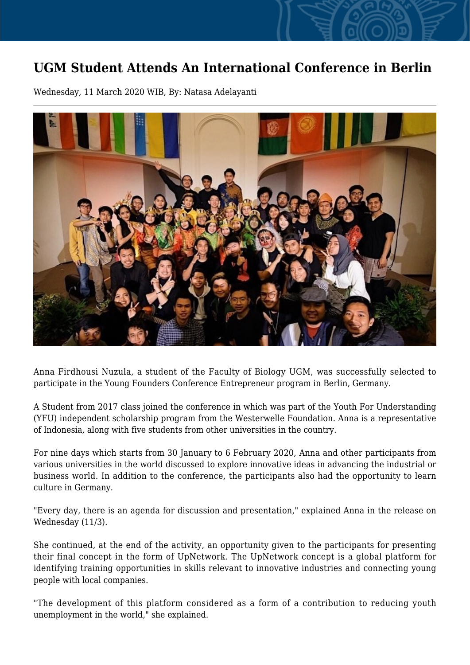## **UGM Student Attends An International Conference in Berlin**

Wednesday, 11 March 2020 WIB, By: Natasa Adelayanti



Anna Firdhousi Nuzula, a student of the Faculty of Biology UGM, was successfully selected to participate in the Young Founders Conference Entrepreneur program in Berlin, Germany.

A Student from 2017 class joined the conference in which was part of the Youth For Understanding (YFU) independent scholarship program from the Westerwelle Foundation. Anna is a representative of Indonesia, along with five students from other universities in the country.

For nine days which starts from 30 January to 6 February 2020, Anna and other participants from various universities in the world discussed to explore innovative ideas in advancing the industrial or business world. In addition to the conference, the participants also had the opportunity to learn culture in Germany.

"Every day, there is an agenda for discussion and presentation," explained Anna in the release on Wednesday (11/3).

She continued, at the end of the activity, an opportunity given to the participants for presenting their final concept in the form of UpNetwork. The UpNetwork concept is a global platform for identifying training opportunities in skills relevant to innovative industries and connecting young people with local companies.

"The development of this platform considered as a form of a contribution to reducing youth unemployment in the world," she explained.